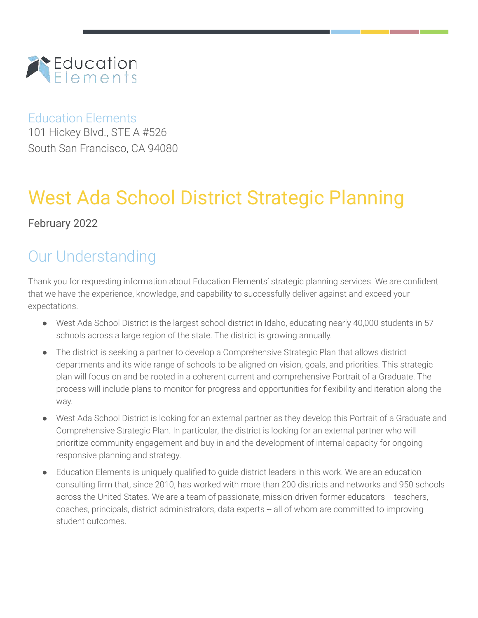

## Education Elements

101 Hickey Blvd., STE A #526 South San Francisco, CA 94080

# West Ada School District Strategic Planning

## February 2022

## Our Understanding

Thank you for requesting information about Education Elements' strategic planning services. We are confident that we have the experience, knowledge, and capability to successfully deliver against and exceed your expectations.

- West Ada School District is the largest school district in Idaho, educating nearly 40,000 students in 57 schools across a large region of the state. The district is growing annually.
- The district is seeking a partner to develop a Comprehensive Strategic Plan that allows district departments and its wide range of schools to be aligned on vision, goals, and priorities. This strategic plan will focus on and be rooted in a coherent current and comprehensive Portrait of a Graduate. The process will include plans to monitor for progress and opportunities for flexibility and iteration along the way.
- West Ada School District is looking for an external partner as they develop this Portrait of a Graduate and Comprehensive Strategic Plan. In particular, the district is looking for an external partner who will prioritize community engagement and buy-in and the development of internal capacity for ongoing responsive planning and strategy.
- Education Elements is uniquely qualified to guide district leaders in this work. We are an education consulting firm that, since 2010, has worked with more than 200 districts and networks and 950 schools across the United States. We are a team of passionate, mission-driven former educators -- teachers, coaches, principals, district administrators, data experts -- all of whom are committed to improving student outcomes.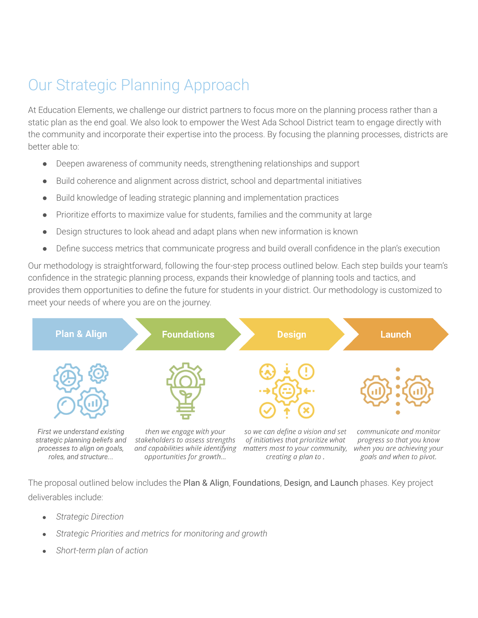## Our Strategic Planning Approach

At Education Elements, we challenge our district partners to focus more on the planning process rather than a static plan as the end goal. We also look to empower the West Ada School District team to engage directly with the community and incorporate their expertise into the process. By focusing the planning processes, districts are better able to:

- Deepen awareness of community needs, strengthening relationships and support
- Build coherence and alignment across district, school and departmental initiatives
- Build knowledge of leading strategic planning and implementation practices
- Prioritize efforts to maximize value for students, families and the community at large
- Design structures to look ahead and adapt plans when new information is known
- Define success metrics that communicate progress and build overall confidence in the plan's execution

Our methodology is straightforward, following the four-step process outlined below. Each step builds your team's confidence in the strategic planning process, expands their knowledge of planning tools and tactics, and provides them opportunities to define the future for students in your district. Our methodology is customized to meet your needs of where you are on the journey.



The proposal outlined below includes the Plan & Align, Foundations, Design, and Launch phases. Key project deliverables include:

- *Strategic Direction*
- *Strategic Priorities and metrics for monitoring and growth*
- *Short-term plan of action*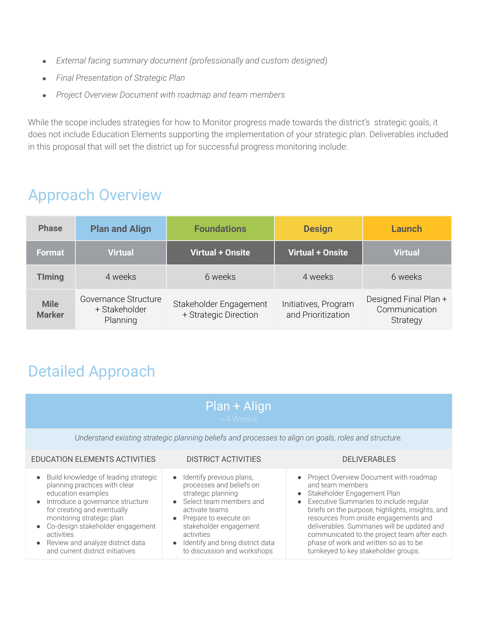- *External facing summary document (professionally and custom designed)*
- *Final Presentation of Strategic Plan*
- *Project Overview Document with roadmap and team members*

While the scope includes strategies for how to Monitor progress made towards the district's strategic goals, it does not include Education Elements supporting the implementation of your strategic plan. Deliverables included in this proposal that will set the district up for successful progress monitoring include:

## Approach Overview

| <b>Phase</b>                 | <b>Plan and Align</b>                             | <b>Foundations</b>                              | <b>Design</b>                              | Launch                                             |
|------------------------------|---------------------------------------------------|-------------------------------------------------|--------------------------------------------|----------------------------------------------------|
| Format                       | <b>Virtual</b>                                    | Virtual + Onsite                                | <b>Virtual + Onsite</b>                    | <b>Virtual</b>                                     |
| <b>TIming</b>                | 4 weeks                                           | 6 weeks                                         | 4 weeks                                    | 6 weeks                                            |
| <b>Mile</b><br><b>Marker</b> | Governance Structure<br>+ Stakeholder<br>Planning | Stakeholder Engagement<br>+ Strategic Direction | Initiatives, Program<br>and Prioritization | Designed Final Plan +<br>Communication<br>Strategy |

## Detailed Approach

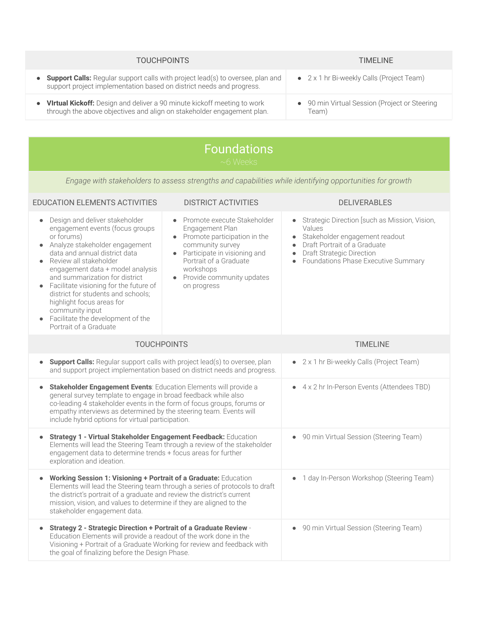| <b>TOUCHPOINTS</b>                                                                                                                                                         | <b>TIMELINE</b>                                        |
|----------------------------------------------------------------------------------------------------------------------------------------------------------------------------|--------------------------------------------------------|
| <b>Support Calls:</b> Regular support calls with project lead(s) to oversee, plan and<br>$\bullet$<br>support project implementation based on district needs and progress. | • $2 \times 1$ hr Bi-weekly Calls (Project Team)       |
| <b>Virtual Kickoff:</b> Design and deliver a 90 minute kickoff meeting to work<br>$\bullet$<br>through the above objectives and align on stakeholder engagement plan.      | • 90 min Virtual Session (Project or Steering<br>Team) |
|                                                                                                                                                                            |                                                        |

| <b>Foundations</b><br>$~6$ Weeks                                                                                                                                                                                                                                                                                                                                                                                                                               |                                                                                                                                                                                                                                    |                                                                                                                                                                                                                                                                       |  |  |
|----------------------------------------------------------------------------------------------------------------------------------------------------------------------------------------------------------------------------------------------------------------------------------------------------------------------------------------------------------------------------------------------------------------------------------------------------------------|------------------------------------------------------------------------------------------------------------------------------------------------------------------------------------------------------------------------------------|-----------------------------------------------------------------------------------------------------------------------------------------------------------------------------------------------------------------------------------------------------------------------|--|--|
| Engage with stakeholders to assess strengths and capabilities while identifying opportunities for growth                                                                                                                                                                                                                                                                                                                                                       |                                                                                                                                                                                                                                    |                                                                                                                                                                                                                                                                       |  |  |
| EDUCATION ELEMENTS ACTIVITIES                                                                                                                                                                                                                                                                                                                                                                                                                                  | <b>DISTRICT ACTIVITIES</b>                                                                                                                                                                                                         | <b>DELIVERABLES</b>                                                                                                                                                                                                                                                   |  |  |
| Design and deliver stakeholder<br>$\bullet$<br>engagement events (focus groups<br>or forums)<br>Analyze stakeholder engagement<br>data and annual district data<br>Review all stakeholder<br>engagement data + model analysis<br>and summarization for district<br>Facilitate visioning for the future of<br>district for students and schools;<br>highlight focus areas for<br>community input<br>Facilitate the development of the<br>Portrait of a Graduate | Promote execute Stakeholder<br>$\bullet$<br>Engagement Plan<br>Promote participation in the<br>community survey<br>Participate in visioning and<br>Portrait of a Graduate<br>workshops<br>Provide community updates<br>on progress | Strategic Direction [such as Mission, Vision,<br>$\bullet$<br>Values<br>Stakeholder engagement readout<br>$\bullet$<br>Draft Portrait of a Graduate<br>$\bullet$<br><b>Draft Strategic Direction</b><br>$\bullet$<br>Foundations Phase Executive Summary<br>$\bullet$ |  |  |
| <b>TOUCHPOINTS</b>                                                                                                                                                                                                                                                                                                                                                                                                                                             |                                                                                                                                                                                                                                    | <b>TIMELINE</b>                                                                                                                                                                                                                                                       |  |  |
| <b>Support Calls:</b> Regular support calls with project lead(s) to oversee, plan<br>$\bullet$<br>and support project implementation based on district needs and progress.                                                                                                                                                                                                                                                                                     |                                                                                                                                                                                                                                    | • 2 x 1 hr Bi-weekly Calls (Project Team)                                                                                                                                                                                                                             |  |  |
| Stakeholder Engagement Events: Education Elements will provide a<br>$\bullet$<br>general survey template to engage in broad feedback while also<br>co-leading 4 stakeholder events in the form of focus groups, forums or<br>empathy interviews as determined by the steering team. Events will<br>include hybrid options for virtual participation.                                                                                                           |                                                                                                                                                                                                                                    | • 4 x 2 hr In-Person Events (Attendees TBD)                                                                                                                                                                                                                           |  |  |
| Strategy 1 - Virtual Stakeholder Engagement Feedback: Education<br>$\bullet$<br>Elements will lead the Steering Team through a review of the stakeholder<br>engagement data to determine trends + focus areas for further<br>exploration and ideation.                                                                                                                                                                                                         |                                                                                                                                                                                                                                    | • 90 min Virtual Session (Steering Team)                                                                                                                                                                                                                              |  |  |
| Working Session 1: Visioning + Portrait of a Graduate: Education<br>$\bullet$<br>Elements will lead the Steering team through a series of protocols to draft<br>the district's portrait of a graduate and review the district's current<br>mission, vision, and values to determine if they are aligned to the<br>stakeholder engagement data.                                                                                                                 |                                                                                                                                                                                                                                    | 1 day In-Person Workshop (Steering Team)<br>$\bullet$                                                                                                                                                                                                                 |  |  |
| <b>Strategy 2 - Strategic Direction + Portrait of a Graduate Review -</b><br>$\bullet$<br>Education Elements will provide a readout of the work done in the<br>Visioning + Portrait of a Graduate Working for review and feedback with<br>the goal of finalizing before the Design Phase.                                                                                                                                                                      |                                                                                                                                                                                                                                    | • 90 min Virtual Session (Steering Team)                                                                                                                                                                                                                              |  |  |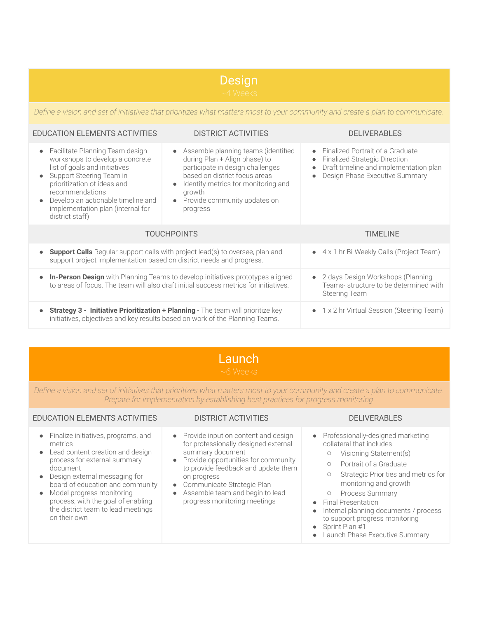# Design

*Define a vision and set of initiatives that prioritizes what matters most to your community and create a plan to communicate.*

### EDUCATION ELEMENTS ACTIVITIES DISTRICT ACTIVITIES DELIVERABLES

| • Facilitate Planning Team design<br>workshops to develop a concrete<br>list of goals and initiatives<br>Support Steering Team in<br>prioritization of ideas and<br>recommendations<br>Develop an actionable timeline and<br>$\bullet$<br>implementation plan (internal for<br>district staff) | Assemble planning teams (identified<br>$\bullet$<br>during Plan + Align phase) to<br>participate in design challenges<br>based on district focus areas<br>Identify metrics for monitoring and<br>$\bullet$<br>growth<br>Provide community updates on<br>$\bullet$<br>progress | Finalized Portrait of a Graduate<br>$\bullet$<br><b>Finalized Strategic Direction</b><br>$\bullet$<br>Draft timeline and implementation plan<br>$\bullet$<br>Design Phase Executive Summary |
|------------------------------------------------------------------------------------------------------------------------------------------------------------------------------------------------------------------------------------------------------------------------------------------------|-------------------------------------------------------------------------------------------------------------------------------------------------------------------------------------------------------------------------------------------------------------------------------|---------------------------------------------------------------------------------------------------------------------------------------------------------------------------------------------|
| <b>TOUCHPOINTS</b>                                                                                                                                                                                                                                                                             |                                                                                                                                                                                                                                                                               | TIMEL INE                                                                                                                                                                                   |
| <b>Support Calls</b> Regular support calls with project lead(s) to oversee, plan and<br>$\bullet$<br>support project implementation based on district needs and progress.                                                                                                                      |                                                                                                                                                                                                                                                                               | 4 x 1 hr Bi-Weekly Calls (Project Team)<br>$\bullet$                                                                                                                                        |
| • In-Person Design with Planning Teams to develop initiatives prototypes aligned<br>to areas of focus. The team will also draft initial success metrics for initiatives.                                                                                                                       |                                                                                                                                                                                                                                                                               | 2 days Design Workshops (Planning<br>$\bullet$<br>Teams-structure to be determined with<br><b>Steering Team</b>                                                                             |
| <b>Strategy 3 - Initiative Prioritization + Planning</b> - The team will prioritize key<br>initiatives, objectives and key results based on work of the Planning Teams.                                                                                                                        |                                                                                                                                                                                                                                                                               | 1 x 2 hr Virtual Session (Steering Team)                                                                                                                                                    |

## Launch

*Define a vision and set of initiatives that prioritizes what matters most to your community and create a plan to communicate. Prepare for implementation by establishing best practices for progress monitoring*

| EDUCATION ELEMENTS ACTIVITIES                                                                                                                                                                                                                                                                                                                              | <b>DISTRICT ACTIVITIES</b>                                                                                                                                                                                                                                                                                       | <b>DELIVERABLES</b>                                                                                                                                                                                                                                                                                                                                                                                                                |  |
|------------------------------------------------------------------------------------------------------------------------------------------------------------------------------------------------------------------------------------------------------------------------------------------------------------------------------------------------------------|------------------------------------------------------------------------------------------------------------------------------------------------------------------------------------------------------------------------------------------------------------------------------------------------------------------|------------------------------------------------------------------------------------------------------------------------------------------------------------------------------------------------------------------------------------------------------------------------------------------------------------------------------------------------------------------------------------------------------------------------------------|--|
| • Finalize initiatives, programs, and<br>metrics<br>• Lead content creation and design<br>process for external summary<br>document<br>Design external messaging for<br>$\bullet$<br>board of education and community<br>Model progress monitoring<br>$\bullet$<br>process, with the goal of enabling<br>the district team to lead meetings<br>on their own | • Provide input on content and design<br>for professionally-designed external<br>summary document<br>• Provide opportunities for community<br>to provide feedback and update them<br>on progress<br>• Communicate Strategic Plan<br>Assemble team and begin to lead<br>$\bullet$<br>progress monitoring meetings | • Professionally-designed marketing<br>collateral that includes<br>Visioning Statement(s)<br>$\circ$<br>Portrait of a Graduate<br>$\circ$<br>Strategic Priorities and metrics for<br>$\circ$<br>monitoring and growth<br><b>Process Summary</b><br>• Final Presentation<br>Internal planning documents / process<br>$\bullet$<br>to support progress monitoring<br>• Sprint Plan #1<br>Launch Phase Executive Summary<br>$\bullet$ |  |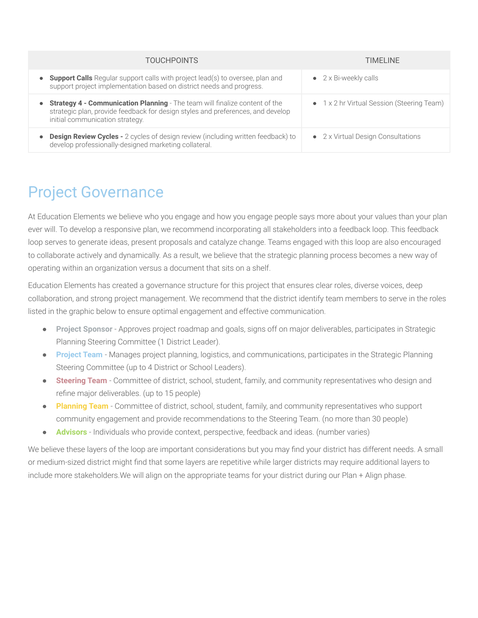| <b>TOUCHPOINTS</b>                                                                                                                                                                                | TIMELINE                                   |
|---------------------------------------------------------------------------------------------------------------------------------------------------------------------------------------------------|--------------------------------------------|
| <b>Support Calls</b> Regular support calls with project lead(s) to oversee, plan and<br>support project implementation based on district needs and progress.                                      | $\bullet$ 2 x Bi-weekly calls              |
| Strategy 4 - Communication Planning - The team will finalize content of the<br>strategic plan, provide feedback for design styles and preferences, and develop<br>initial communication strategy. | • 1 x 2 hr Virtual Session (Steering Team) |
| <b>Design Review Cycles -</b> 2 cycles of design review (including written feedback) to<br>develop professionally-designed marketing collateral.                                                  | • 2 x Virtual Design Consultations         |

## Project Governance

At Education Elements we believe who you engage and how you engage people says more about your values than your plan ever will. To develop a responsive plan, we recommend incorporating all stakeholders into a feedback loop. This feedback loop serves to generate ideas, present proposals and catalyze change. Teams engaged with this loop are also encouraged to collaborate actively and dynamically. As a result, we believe that the strategic planning process becomes a new way of operating within an organization versus a document that sits on a shelf.

Education Elements has created a governance structure for this project that ensures clear roles, diverse voices, deep collaboration, and strong project management. We recommend that the district identify team members to serve in the roles listed in the graphic below to ensure optimal engagement and effective communication.

- **Project Sponsor** Approves project roadmap and goals, signs off on major deliverables, participates in Strategic Planning Steering Committee (1 District Leader).
- **Project Team** Manages project planning, logistics, and communications, participates in the Strategic Planning Steering Committee (up to 4 District or School Leaders).
- **Steering Team** Committee of district, school, student, family, and community representatives who design and refine major deliverables. (up to 15 people)
- **Planning Team** Committee of district, school, student, family, and community representatives who support community engagement and provide recommendations to the Steering Team. (no more than 30 people)
- **Advisors** Individuals who provide context, perspective, feedback and ideas. (number varies)

We believe these layers of the loop are important considerations but you may find your district has different needs. A small or medium-sized district might find that some layers are repetitive while larger districts may require additional layers to include more stakeholders.We will align on the appropriate teams for your district during our Plan + Align phase.